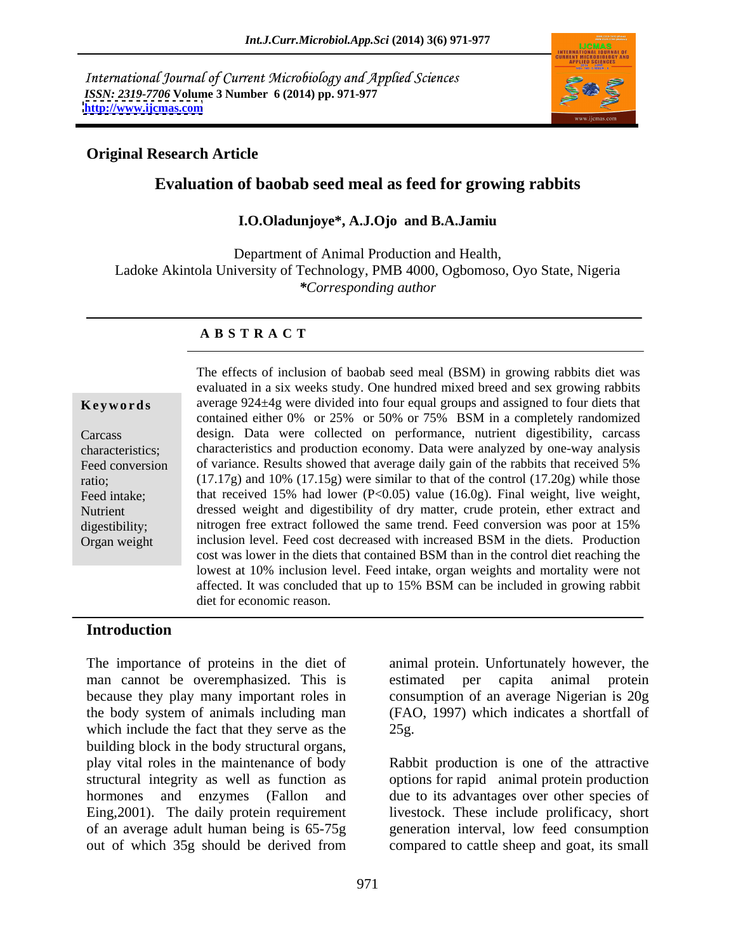International Journal of Current Microbiology and Applied Sciences *ISSN: 2319-7706* **Volume 3 Number 6 (2014) pp. 971-977 <http://www.ijcmas.com>**



### **Original Research Article**

# **Evaluation of baobab seed meal as feed for growing rabbits**

### **I.O.Oladunjoye\*, A.J.Ojo and B.A.Jamiu**

Department of Animal Production and Health, Ladoke Akintola University of Technology, PMB 4000, Ogbomoso, Oyo State, Nigeria *\*Corresponding author*

### **A B S T R A C T**

**Keywords** average 924±4g were divided into four equal groups and assigned to four diets that Carcass design. Data were collected on performance, nutrient digestibility, carcass characteristics; characteristics and production economy. Data were analyzed by one-way analysis Feed conversion of variance. Results showed that average daily gain of the rabbits that received 5% ratio; (17.17g) and 10% (17.15g) were similar to that of the control (17.20g) while those Feed intake; that received 15% had lower (P<0.05) value (16.0g). Final weight, live weight, Nutrient dressed weight and digestibility of dry matter, crude protein, ether extract and digestibility; nitrogen free extract followed the same trend. Feed conversion was poor at 15% The effects of inclusion of baobab seed meal (BSM) in growing rabbits diet was<br>
evaluated in a six weeks study. One hundred mixed breed and sex growing rabbits<br>
average 924-4g were divided into four equal groups and assign evaluated in a six weeks study. One hundred mixed breed and sex growing rabbits contained either 0% or 25% or 50% or 75% BSM in a completely randomized inclusion level. Feed cost decreased with increased BSM in the diets. Production cost was lower in the diets that contained BSM than in the control diet reaching the lowest at 10% inclusion level. Feed intake, organ weights and mortality were not affected. It was concluded that up to 15% BSM can be included in growing rabbit diet for economic reason.

### **Introduction**

The importance of proteins in the diet of man cannot be overemphasized. This is estimated per capita animal protein because they play many important roles in consumption of an average Nigerian is 20g the body system of animals including man which include the fact that they serve as the 25g. building block in the body structural organs, play vital roles in the maintenance of body structural integrity as well as function as options for rapid animal protein production hormones and enzymes (Fallon and due to its advantages over other species of Eing,2001). The daily protein requirement livestock. These include prolificacy, short of an average adult human being is 65-75g generation interval, low feed consumption out of which 35g should be derived from compared to cattle sheep and goat, its small

animal protein. Unfortunately however, the (FAO, 1997) which indicates a shortfall of 25g.

Rabbit production is one of the attractive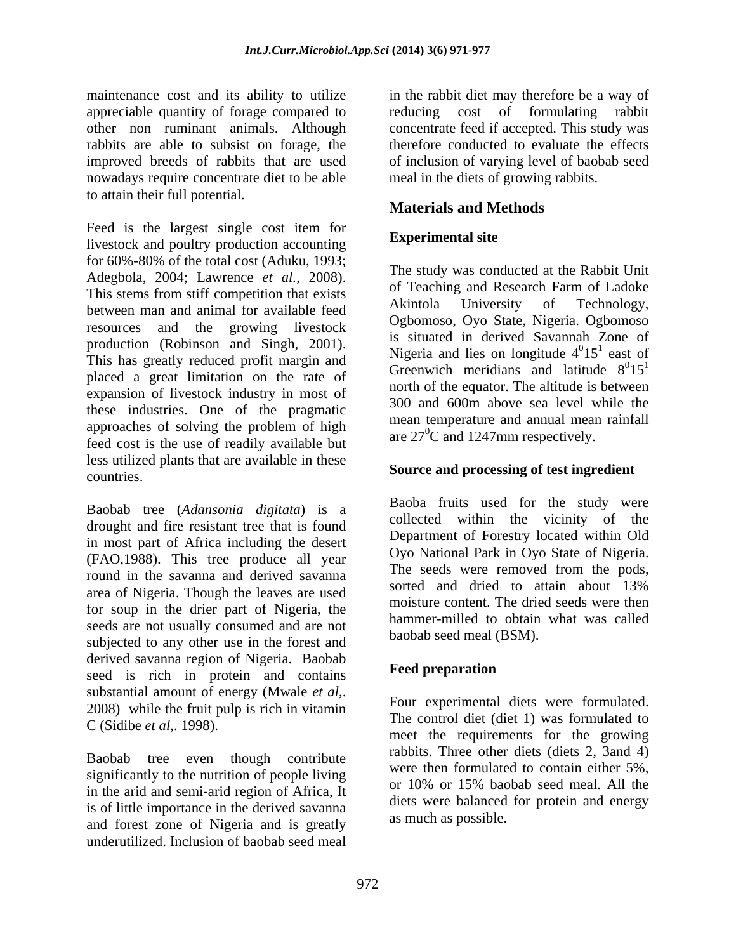maintenance cost and its ability to utilize in the rabbit diet may therefore be a way of appreciable quantity of forage compared to reducing cost of formulating rabbit other non ruminant animals. Although concentrate feed if accepted. This study was rabbits are able to subsist on forage, the therefore conducted to evaluate the effects improved breeds of rabbits that are used nowadays require concentrate diet to be able to attain their full potential.

**Materials and Methods**<br>Feed is the largest single cost item for livestock and poultry production accounting Experimental site for 60%-80% of the total cost (Aduku, 1993; Adegbola, 2004; Lawrence *et al.*, 2008). The study was conducted at the Nabolt Official Stems from stiff competition that exists of Teaching and Research Farm of Ladoke between man and animal for available feed Akintola University of Technology, resources and the growing livestock production (Robinson and Singh, 2001). This has greatly reduced profit margin and placed a great limitation on the rate of expansion of livestock industry in most of these industries. One of the pragmatic approaches of solving the problem of high feed cost is the use of readily available but less utilized plants that are available in these countries. **Source and processing of test ingredient**

Baobab tree (*Adansonia digitata*) is a drought and fire resistant tree that is found in most part of Africa including the desert (FAO,1988). This tree produce all year round in the savanna and derived savanna<br>sorted and dried to attain about 13% area of Nigeria. Though the leaves are used for soup in the drier part of Nigeria, the seeds are not usually consumed and are not subjected to any other use in the forest and derived savanna region of Nigeria. Baobab **Feed preparation** seed is rich in protein and contains substantial amount of energy (Mwale *et al*,. 2008) while the fruit pulp is rich in vitamin

Baobab tree even though contribute significantly to the nutrition of people living<br>or  $10\%$  or  $15\%$  baobab seed meal. All the in the arid and semi-arid region of Africa, It is of little importance in the derived savanna and forest zone of Nigeria and is greatly underutilized. Inclusion of baobab seed meal

of inclusion of varying level of baobab seed meal in the diets of growing rabbits.

# **Materials and Methods**

## **Experimental site**

The study was conducted at the Rabbit Unit of Teaching and Research Farm of Ladoke Akintola University of Technology, Ogbomoso, Oyo State, Nigeria. Ogbomoso is situated in derived Savannah Zone of Nigeria and lies on longitude  $4^015^1$  east of  $0<sub>15</sub>1$  and of  $15<sup>1</sup>$  east of east of Greenwich meridians and latitude  $8^015^1$  $0<sub>1</sub>$  $<sub>1</sub>$ </sub>  $15<sup>1</sup>$ north of the equator. The altitude is between 300 and 600m above sealevel while the mean temperature and annual mean rainfall are  $27^0$ C and 1247mm respectively.

Baoba fruits used for the study were collected within the vicinity of the Department of Forestry located within Old Oyo National Park in Oyo State of Nigeria. The seeds were removed from the pods, sorted and dried to attain about 13% moisture content. The dried seeds were then hammer-milled to obtain what was called baobab seed meal (BSM).

### **Feed preparation**

C (Sidibe *et al.*, 1998). Four experimental diets were formulated. The control diet (diet 1) was formulated to meet the requirements for the growing rabbits. Three other diets (diets 2, 3and 4) were then formulated to contain either 5%, or 10% or 15% baobab seed meal. All the diets were balanced for protein and energy as much as possible.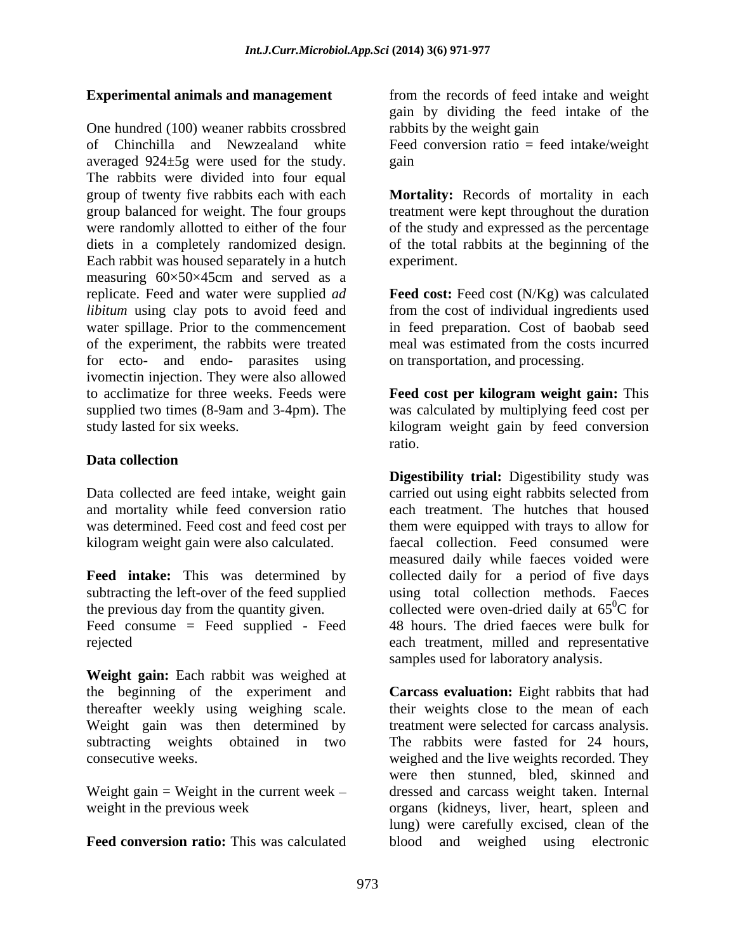One hundred (100) weaner rabbits crossbred of Chinchilla and Newzealand white Feed conversion ratio = feed intake/weight averaged 924±5g were used for the study. The rabbits were divided into four equal group of twenty five rabbits each with each **Mortality:** Records of mortality in each group balanced for weight. The four groups treatment were kept throughout the duration were randomly allotted to either of the four diets in a completely randomized design. of the total rabbits at the beginning of the Each rabbit was housed separately in a hutch experiment. measuring 60×50×45cm and served as a replicate. Feed and water were supplied *ad*  **Feed cost:** Feed cost (N/Kg) was calculated *libitum* using clay pots to avoid feed and water spillage. Prior to the commencement of the experiment, the rabbits were treated meal was estimated from the costs incurred for ecto- and endo- parasites using ivomectin injection. They were also allowed to acclimatize for three weeks. Feeds were **Feed cost per kilogram weight gain:** This supplied two times (8-9am and 3-4pm). The was calculated by multiplying feed cost per study lasted for six weeks. kilogram weight gain by feed conversion

### **Data collection**

Data collected are feed intake, weight gain

subtracting the left-over of the feed supplied<br>the previous day from the quantity given. Feed consume = Feed supplied - Feed

**Weight gain:** Each rabbit was weighed at thereafter weekly using weighing scale.

Weight gain  $=$  Weight in the current week  $-$ 

**Feed conversion ratio:** This was calculated blood and weighed using electronic

**Experimental animals and management** from the records of feed intake and weight gain by dividing the feed intake of the rabbits by the weight gain

gain **produced** the contract of the contract of the contract of the contract of the contract of the contract of the contract of the contract of the contract of the contract of the contract of the contract of the contract o

of the study and expressed as the percentage experiment.

from the cost of individual ingredients used in feed preparation. Cost of baobab seed on transportation, and processing.

ratio.

and mortality while feed conversion ratio each treatment. The hutches that housed was determined. Feed cost and feed cost per them were equipped with trays to allow for kilogram weight gain were also calculated. faecal collection. Feed consumed were **Feed intake:** This was determined by collected daily for a period of five days the previous day from the quantity given. collected were oven-dried daily at  $65^{\circ}$ C for rejected each treatment, milled and representative **Digestibility trial:** Digestibility study was carried out using eight rabbits selected from measured daily while faeces voided were using total collection methods. Faeces  ${}^{0}C$  for 48 hours. The dried faeces were bulk for samples used for laboratory analysis.

the beginning of the experiment and **Carcass evaluation:** Eight rabbits that had Weight gain was then determined by treatment were selected for carcass analysis. subtracting weights obtained in two The rabbits were fasted for 24 hours, consecutive weeks. weighed and the live weights recorded. They weight in the previous week organs (kidneys, liver, heart, spleen and their weights close to the mean of each were then stunned, bled, skinned and dressed and carcass weight taken. Internal lung) were carefully excised, clean of the blood and weighed using electronic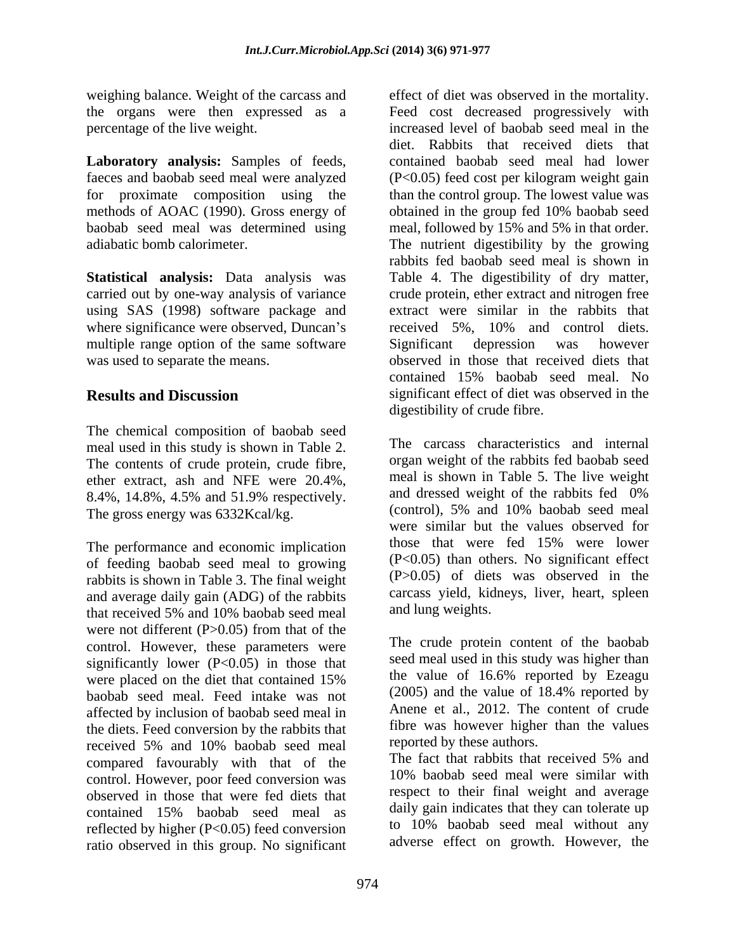weighing balance. Weight of the carcass and effect of diet was observed in the mortality.

**Laboratory analysis:** Samples of feeds,

**Statistical analysis:** Data analysis was using SAS (1998) software package and multiple range option of the same software Significant depression was however

The chemical composition of baobab seed meal used in this study is shown in Table 2. The contents of crude protein, crude fibre, ether extract, ash and NFE were  $20.4\%$ , meal is shown in Table 5. The live weight<br>8.4%, 1.4.8%, 4.5% and 5.1.9% repectively and dressed weight of the rabbits fed 0% 8.4%, 14.8%, 4.5% and 51.9% respectively. The gross energy was 6332Kcal/kg.

of feeding baobab seed meal to growing rabbits is shown in Table 3. The final weight and average daily gain (ADG) of the rabbits that received 5% and 10% baobab seed meal and lung weights. were not different  $(P>0.05)$  from that of the control. However, these parameters were significantly lower  $(P<0.05)$  in those that seed meal used in this study was higher than<br>were placed on the diet that contained 15% the value of 16.6% reported by Ezeagu were placed on the diet that contained 15% the value of 16.6% reported by Ezeagu baobab seed meal. Feed intake was not (2005) and the value of 18.4% reported by affected by inclusion of baobab seed meal in the diets. Feed conversion by the rabbits that the vas however higher<br>received 5% and 10% backed meal reported by these authors. received 5% and 10% baobab seed meal reported by these authors.<br>
The fact that rabbits that received 5% and compared favourably with that of the control. However, poor feed conversion was observed in those that were fed diets that contained 15% baobab seed meal as reflected by higher (P<0.05) feed conversion ratio observed in this group. No significant

the organs were then expressed as a Feed cost decreased progressively with percentage of the live weight. increased level of baobab seed meal in the faeces and baobab seed meal were analyzed (P<0.05) feed cost per kilogram weight gain for proximate composition using the than the control group. The lowest value was methods of AOAC (1990). Gross energy of obtained in the group fed 10% baobab seed baobab seed meal was determined using meal, followed by 15% and 5% in that order. adiabatic bomb calorimeter. The nutrient digestibility by the growing carried out by one-way analysis of variance crude protein, ether extract and nitrogen free where significance were observed, Duncan's received 5%, 10% and control diets. was used to separate the means. observed in those that received diets that **Results and Discussion** significant effect of diet was observed in the diet. Rabbits that received diets that contained baobab seed meal had lower rabbits fed baobab seed meal is shown in Table 4. The digestibility of dry matter, extract were similar in the rabbits that Significant depression was however contained 15% baobab seed meal. No digestibility of crude fibre.

The performance and economic implication those that were fed 15% were lower The carcass characteristics and internal organ weight of the rabbits fed baobab seed meal is shown in Table 5. The live weight and dressed weight of the rabbits fed 0% (control), 5% and 10% baobab seed meal were similar but the values observed for those that were fed 15% were lower (P<0.05) than others. No significant effect (P>0.05) of diets was observed in the carcass yield, kidneys, liver, heart, spleen and lung weights.

> The crude protein content of the baobab seed meal used in this study was higher than the value of 16.6% reported by Ezeagu (2005) and the value of 18.4% reported by Anene et al., 2012. The content of crude fibre was however higher than the values

reported by these authors. The fact that rabbits that received 5% and 10% baobab seed meal were similar with respect to their final weight and average daily gain indicates that they can tolerate up to 10% baobab seed meal without any adverse effect on growth. However, the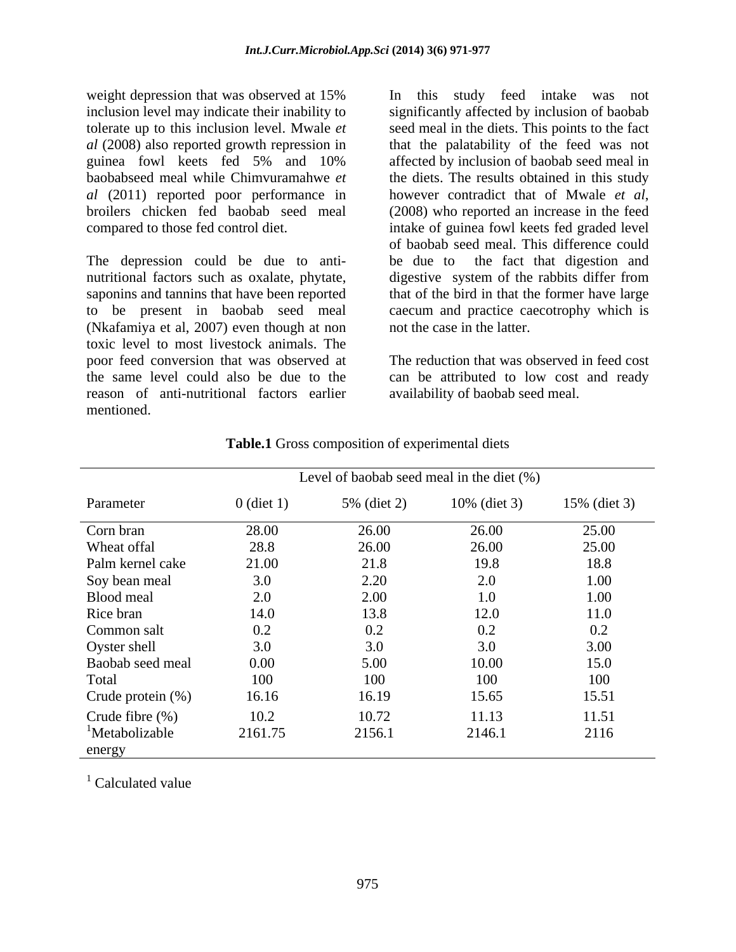weight depression that was observed at 15% In this study feed intake was not *al* (2011) reported poor performance in bowever contradict that of Mwale *et al*, broilers chicken fed baobab seed meal (2008) who reported an increase in the feed

The depression could be due to anti-<br>be due to the fact that digestion and nutritional factors such as oxalate, phytate, digestive system of the rabbits differ from saponins and tannins that have been reported that of the bird in that the former have large to be present in baobab seed meal (Nkafamiya et al, 2007) even though at non toxic level to most livestock animals. The poor feed conversion that was observed at the same level could also be due to the can be attributed to low cost and ready reason of anti-nutritional factors earlier mentioned.

inclusion level may indicate their inability to significantly affected by inclusion of baobab tolerate up to this inclusion level. Mwale *et*  seed meal in the diets. This points to the fact *al* (2008) also reported growth repression in that the palatability of the feed was not guinea fowl keets fed 5% and 10% baobabseed meal while Chimvuramahwe *et*  the diets. The results obtained in this study compared to those fed control diet. intake of guinea fowl keets fed graded level In this study feed intake was not affected by inclusion of baobab seed meal in however contradict that of Mwale *et al*, (2008) who reported an increase in the feed of baobab seed meal. This difference could be due to the fact that digestion and caecum and practice caecotrophy which is not the case in the latter.

> The reduction that was observed in feed cost availability of baobab seed meal.

|                            |              | Level of baobab seed meal in the diet $(\%)$ |              |              |
|----------------------------|--------------|----------------------------------------------|--------------|--------------|
| Parameter                  | $0$ (diet 1) | 5% (diet 2)                                  | 10% (diet 3) | 15% (diet 3) |
| Corn bran                  | 28.00        | 26.00                                        | 26.00        | 25.00        |
| Wheat offal                | 28.8         | 26.00                                        | 26.00        | 25.00        |
| Palm kernel cake           | 21.00        | 21.8                                         | 19.8         | 18.8         |
| Soy bean meal              | 3.0          | 2.20                                         | 2.0          | 1.00         |
| Blood meal                 | 2.0          | 2.00                                         | 1.0          | 1.00         |
| Rice bran                  | 14.0         | 13.8                                         | 12.0         | 11.0         |
| Common salt                | 0.2          | $0.2\,$                                      | 0.2          | 0.2          |
| Oyster shell               | 3.0          | 3.0                                          | 3.0          | 3.00         |
| Baobab seed meal           | 0.00         | 5.00                                         | 10.00        | 15.0         |
| Total                      | 100          | 100                                          | 100          | 100          |
| Crude protein (%)          | 16.16        | 16.19                                        | 15.65        | 15.51        |
| Crude fibre $(\%)$         | 10.2         | 10.72                                        | 11.13        | 11.51        |
| <sup>1</sup> Metabolizable | 2161.75      | 2156.1                                       | 2146.1       | 2116         |
| energy                     |              |                                              |              |              |

### **Table.1** Gross composition of experimental diets

 $\frac{1}{2}$  Coloulated value  $1$  Calculated value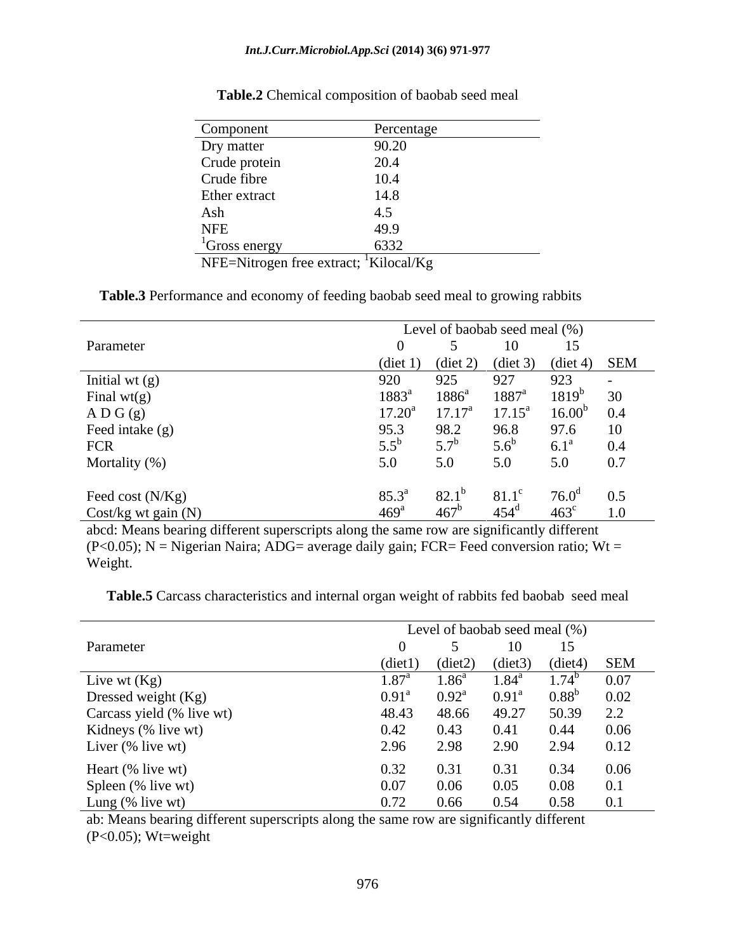### *Int.J.Curr.Microbiol.App.Sci* **(2014) 3(6) 971-977**

| Component                                          | Percentage |
|----------------------------------------------------|------------|
| Dry matter                                         | 90.20      |
| Crude protein                                      | 20.4       |
| Crude fibre                                        | 10.4       |
| Ether extract                                      | 14.8       |
| Ash                                                |            |
| <b>NFE</b>                                         | 49.9       |
| <sup>1</sup> Gross energy                          | 6332       |
| NFE=Nitrogen free extract; <sup>1</sup> Kilocal/Kg |            |

| Table.2<br>composition o<br>seed<br>baobab<br>meal<br>Chemical |  |  |
|----------------------------------------------------------------|--|--|
|                                                                |  |  |

**Table.3** Performance and economy of feeding baobab seed meal to growing rabbits

|                                                                                       |      |                    |               | Level of baobab seed meal (%)                   |     |
|---------------------------------------------------------------------------------------|------|--------------------|---------------|-------------------------------------------------|-----|
| Parameter                                                                             |      |                    |               |                                                 |     |
|                                                                                       |      |                    |               | $(diet 1)$ $(diet 2)$ $(diet 3)$ $(diet 4)$ SEM |     |
|                                                                                       |      | 925                |               | 927 923 -                                       |     |
|                                                                                       |      |                    |               | $1883^a$ $1886^a$ $1887^a$ $1819^b$ 30          |     |
|                                                                                       |      |                    |               | $17.20^a$ $17.17^a$ $17.15^a$ $16.00^b$ 0.4     |     |
|                                                                                       | 95.3 |                    |               | 98.2 96.8 97.6 10                               |     |
|                                                                                       |      | $5.7^{\mathrm{b}}$ |               | $5.6^b$ $6.1^a$ 0.4                             |     |
| Initial wt (g)<br>Final wt(g)<br>A D G (g)<br>Feed intake (g)<br>FCR<br>Mortality (%) | 5.0  |                    |               | 5.0 5.0 5.0 0.7                                 |     |
|                                                                                       |      | $82.1^{\circ}$     |               | $81.1^{\circ}$ 76.0 <sup>d</sup> 0.5            |     |
| Feed cost (N/Kg)<br>Cost/kg wt gain (N)                                               |      | $467^b$            | $454^{\rm d}$ | $463^{\circ}$                                   | 1.0 |

abcd: Means bearing different superscripts along the same row are significantly different (P<0.05); N = Nigerian Naira; ADG= average daily gain; FCR= Feed conversion ratio; Wt = Weight.

**Table.5** Carcass characteristics and internal organ weight of rabbits fed baobab seed meal

|                                                                  |                   |      |           | Level of baobab seed meal (%)            |  |
|------------------------------------------------------------------|-------------------|------|-----------|------------------------------------------|--|
| Parameter                                                        |                   |      |           | 10 15                                    |  |
|                                                                  |                   |      |           | (diet1) (diet2) (diet3) (diet4) SEM      |  |
|                                                                  |                   |      |           | $1.87^a$ $1.86^a$ $1.84^a$ $1.74^b$ 0.07 |  |
| Live wt (Kg)<br>Dressed weight (Kg)<br>Carcass yield (% live wt) | $0.91^{\text{a}}$ |      |           | $0.92^a$ $0.91^a$ $0.88^b$ $0.02$        |  |
|                                                                  |                   |      |           | 48.43 48.66 49.27 50.39 2.2              |  |
| Kidneys (% live wt)                                              |                   |      |           | $0.43$ $0.41$ $0.44$ $0.06$              |  |
| Liver (% live wt)                                                | 2.96              |      | 2.98 2.90 | 2.94 0.12                                |  |
|                                                                  |                   |      | 0.31      | $0.34$ 0.06                              |  |
|                                                                  |                   | 0.06 | 0.05      | $0.08$ 0.1                               |  |
| Heart (% live wt)<br>Spleen (% live wt)<br>Lung (% live wt)      | 0.72              |      |           | $0.66$ $0.54$ $0.58$ $0.1$               |  |

ab: Means bearing different superscripts along the same row are significantly different  $(P<0.05)$ ; Wt=weight